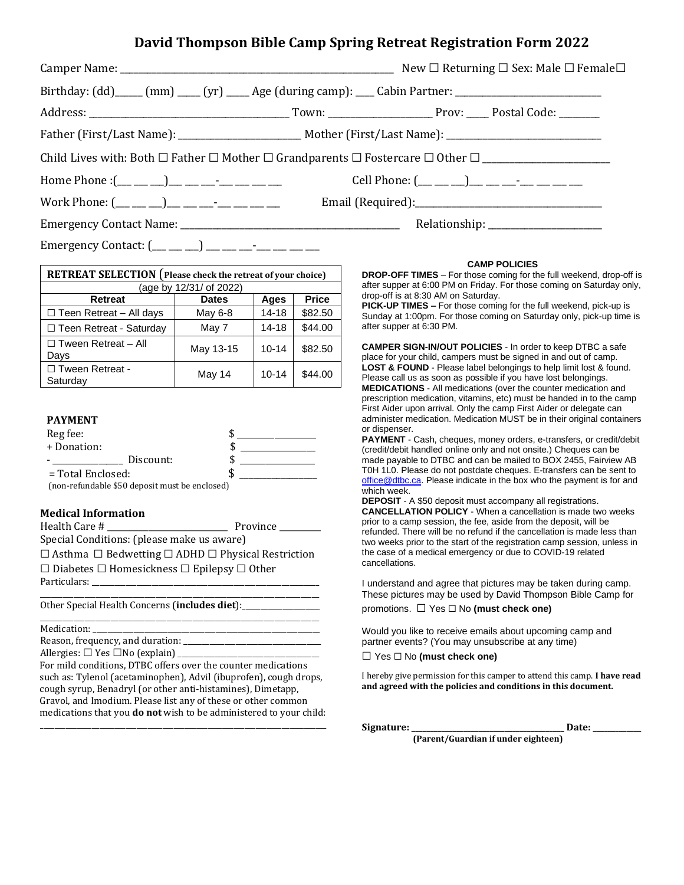# **David Thompson Bible Camp Spring Retreat Registration Form 2022**

|                                                                                                     |  | New $\Box$ Returning $\Box$ Sex: Male $\Box$ Female $\Box$ |
|-----------------------------------------------------------------------------------------------------|--|------------------------------------------------------------|
| Birthday: (dd)____ (mm) ____ (yr) ____ Age (during camp): ___ Cabin Partner: ______________________ |  |                                                            |
|                                                                                                     |  |                                                            |
|                                                                                                     |  |                                                            |
|                                                                                                     |  |                                                            |
| Home Phone :(__ __ __)__ __ __-_ __ __ __ __ Cell Phone: (__ __ _)_ __ __ __ __ __                  |  |                                                            |
| Work Phone: (__ __ __)__ __ __--_________                                                           |  |                                                            |
|                                                                                                     |  |                                                            |
|                                                                                                     |  |                                                            |

Emergency Contact:  $(\_\_\_\_\_)\_\_\_\_\_\_\_$ 

| RETREAT SELECTION (Please check the retreat of your choice) |                         |           |              |
|-------------------------------------------------------------|-------------------------|-----------|--------------|
|                                                             | (age by 12/31/ of 2022) |           |              |
| Retreat                                                     | <b>Dates</b>            | Ages      | <b>Price</b> |
| $\Box$ Teen Retreat - All days                              | May 6-8                 | $14 - 18$ | \$82.50      |
| □ Teen Retreat - Saturday                                   | May 7                   | $14 - 18$ | \$44.00      |
| $\Box$ Tween Retreat – All<br>Days                          | May 13-15               | $10 - 14$ | \$82.50      |
| □ Tween Retreat -<br>Saturday                               | May 14                  | $10 - 14$ | \$44.00      |

### **PAYMENT**

| Reg fee:            |           |    |  |
|---------------------|-----------|----|--|
| + Donation:         |           |    |  |
|                     | Discount: |    |  |
| $=$ Total Enclosed: |           | ٠D |  |

(non-refundable \$50 deposit must be enclosed)

### **Medical Information**

Health Care # \_\_\_\_\_\_\_\_\_\_\_\_\_\_\_\_\_\_\_\_\_\_\_\_\_\_\_\_\_ Province \_\_\_\_\_\_\_\_\_\_

Special Conditions: (please make us aware)

☐ Asthma ☐ Bedwetting ☐ ADHD ☐ Physical Restriction ☐ Diabetes ☐ Homesickness ☐ Epilepsy ☐ Other Particulars:

\_\_\_\_\_\_\_\_\_\_\_\_\_\_\_\_\_\_\_\_\_\_\_\_\_\_\_\_\_\_\_\_\_\_\_\_\_\_\_\_\_\_\_\_\_\_\_\_\_\_\_\_\_\_\_\_\_\_\_\_\_\_\_\_\_\_\_\_\_\_\_\_\_\_\_

\_\_\_\_\_\_\_\_\_\_\_\_\_\_\_\_\_\_\_\_\_\_\_\_\_\_\_\_\_\_\_\_\_\_\_\_\_\_\_\_\_\_\_\_\_\_\_\_\_\_\_\_\_\_\_\_\_\_\_\_\_\_\_\_\_\_\_\_\_\_\_\_\_\_\_

Other Special Health Concerns (*includes diet*):

Medication:

Reason, frequency, and duration: \_\_\_\_\_\_\_\_\_\_\_\_\_\_\_\_\_\_\_\_\_\_\_\_\_\_\_\_\_\_\_\_\_\_\_\_\_ Allergies:  $\Box$  Yes  $\Box$  No (explain)

For mild conditions, DTBC offers over the counter medications such as: Tylenol (acetaminophen), Advil (ibuprofen), cough drops, cough syrup, Benadryl (or other anti-histamines), Dimetapp, Gravol, and Imodium. Please list any of these or other common medications that you **do not** wish to be administered to your child:

\_\_\_\_\_\_\_\_\_\_\_\_\_\_\_\_\_\_\_\_\_\_\_\_\_\_\_\_\_\_\_\_\_\_\_\_\_\_\_\_\_\_\_\_\_\_\_\_\_\_\_\_\_\_\_\_\_\_\_\_\_\_\_\_\_\_\_\_\_\_\_\_\_\_\_\_\_

#### **CAMP POLICIES**

**DROP-OFF TIMES** – For those coming for the full weekend, drop-off is after supper at 6:00 PM on Friday. For those coming on Saturday only, drop-off is at 8:30 AM on Saturday.

**PICK-UP TIMES –** For those coming for the full weekend, pick-up is Sunday at 1:00pm. For those coming on Saturday only, pick-up time is after supper at 6:30 PM.

**CAMPER SIGN-IN/OUT POLICIES** - In order to keep DTBC a safe place for your child, campers must be signed in and out of camp. **LOST & FOUND** - Please label belongings to help limit lost & found. Please call us as soon as possible if you have lost belongings. **MEDICATIONS** - All medications (over the counter medication and prescription medication, vitamins, etc) must be handed in to the camp First Aider upon arrival. Only the camp First Aider or delegate can administer medication. Medication MUST be in their original containers or dispenser.

**PAYMENT** - Cash, cheques, money orders, e-transfers, or credit/debit (credit/debit handled online only and not onsite.) Cheques can be made payable to DTBC and can be mailed to BOX 2455, Fairview AB T0H 1L0. Please do not postdate cheques. E-transfers can be sent to [office@dtbc.ca.](mailto:office@dtbc.ca) Please indicate in the box who the payment is for and which week.

**DEPOSIT** - A \$50 deposit must accompany all registrations. **CANCELLATION POLICY** - When a cancellation is made two weeks prior to a camp session, the fee, aside from the deposit, will be refunded. There will be no refund if the cancellation is made less than two weeks prior to the start of the registration camp session, unless in the case of a medical emergency or due to COVID-19 related cancellations.

I understand and agree that pictures may be taken during camp. These pictures may be used by David Thompson Bible Camp for promotions. ☐ Yes ☐ No **(must check one)**

Would you like to receive emails about upcoming camp and partner events? (You may unsubscribe at any time)

☐ Yes ☐ No **(must check one)**

I hereby give permission for this camper to attend this camp. **I have read and agreed with the policies and conditions in this document.**

**Signature: \_\_\_\_\_\_\_\_\_\_\_\_\_\_\_\_\_\_\_\_\_\_\_\_\_\_\_\_\_\_\_\_\_\_\_\_\_\_\_\_\_ Date: \_\_\_\_\_\_\_\_\_\_\_\_\_ (Parent/Guardian if under eighteen)**